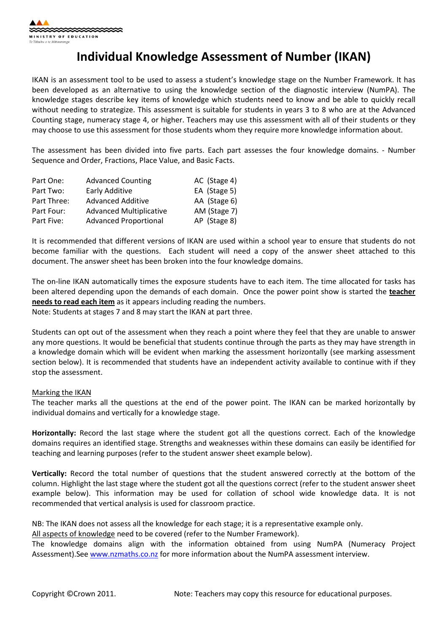## Individual Knowledge Assessment of Number (IKAN)

IKAN is an assessment tool to be used to assess a student's knowledge stage on the Number Framework. It has been developed as an alternative to using the knowledge section of the diagnostic interview (NumPA). The knowledge stages describe key items of knowledge which students need to know and be able to quickly recall without needing to strategize. This assessment is suitable for students in years 3 to 8 who are at the Advanced Counting stage, numeracy stage 4, or higher. Teachers may use this assessment with all of their students or they may choose to use this assessment for those students whom they require more knowledge information about.

The assessment has been divided into five parts. Each part assesses the four knowledge domains. - Number Sequence and Order, Fractions, Place Value, and Basic Facts.

| Part One:   | <b>Advanced Counting</b>       | AC (Stage 4) |
|-------------|--------------------------------|--------------|
| Part Two:   | Early Additive                 | EA (Stage 5) |
| Part Three: | <b>Advanced Additive</b>       | AA (Stage 6) |
| Part Four:  | <b>Advanced Multiplicative</b> | AM (Stage 7) |
| Part Five:  | <b>Advanced Proportional</b>   | AP (Stage 8) |

It is recommended that different versions of IKAN are used within a school year to ensure that students do not become familiar with the questions. Each student will need a copy of the answer sheet attached to this document. The answer sheet has been broken into the four knowledge domains.

The on-line IKAN automatically times the exposure students have to each item. The time allocated for tasks has been altered depending upon the demands of each domain. Once the power point show is started the **teacher** needs to read each item as it appears including reading the numbers. Note: Students at stages 7 and 8 may start the IKAN at part three.

Students can opt out of the assessment when they reach a point where they feel that they are unable to answer any more questions. It would be beneficial that students continue through the parts as they may have strength in a knowledge domain which will be evident when marking the assessment horizontally (see marking assessment section below). It is recommended that students have an independent activity available to continue with if they stop the assessment.

## Marking the IKAN

The teacher marks all the questions at the end of the power point. The IKAN can be marked horizontally by individual domains and vertically for a knowledge stage.

Horizontally: Record the last stage where the student got all the questions correct. Each of the knowledge domains requires an identified stage. Strengths and weaknesses within these domains can easily be identified for teaching and learning purposes (refer to the student answer sheet example below).

Vertically: Record the total number of questions that the student answered correctly at the bottom of the column. Highlight the last stage where the student got all the questions correct (refer to the student answer sheet example below). This information may be used for collation of school wide knowledge data. It is not recommended that vertical analysis is used for classroom practice.

NB: The IKAN does not assess all the knowledge for each stage; it is a representative example only.

All aspects of knowledge need to be covered (refer to the Number Framework).

The knowledge domains align with the information obtained from using NumPA (Numeracy Project Assessment).See www.nzmaths.co.nz for more information about the NumPA assessment interview.